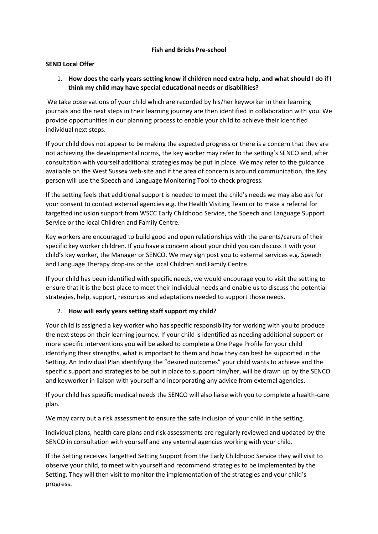#### **Fish and Bricks Pre-school**

#### **SEND Local Offer**

### 1. **How does the early years setting know if children need extra help, and what should I do if I think my child may have special educational needs or disabilities?**

We take observations of your child which are recorded by his/her keyworker in their learning journals and the next steps in their learning journey are then identified in collaboration with you. We provide opportunities in our planning process to enable your child to achieve their identified individual next steps.

If your child does not appear to be making the expected progress or there is a concern that they are not achieving the developmental norms, the key worker may refer to the setting's SENCO and, after consultation with yourself additional strategies may be put in place. We may refer to the guidance available on the West Sussex web-site and if the area of concern is around communication, the Key person will use the Speech and Language Monitoring Tool to check progress.

If the setting feels that additional support is needed to meet the child's needs we may also ask for your consent to contact external agencies e.g. the Health Visiting Team or to make a referral for targetted inclusion support from WSCC Early Childhood Service, the Speech and Language Support Service or the local Children and Family Centre.

Key workers are encouraged to build good and open relationships with the parents/carers of their specific key worker children. If you have a concern about your child you can discuss it with your child's key worker, the Manager or SENCO. We may sign post you to external services e.g. Speech and Language Therapy drop-ins or the local Children and Family Centre.

If your child has been identified with specific needs, we would encourage you to visit the setting to ensure that it is the best place to meet their individual needs and enable us to discuss the potential strategies, help, support, resources and adaptations needed to support those needs.

#### 2. **How will early years setting staff support my child?**

Your child is assigned a key worker who has specific responsibility for working with you to produce the next steps on their learning journey. If your child is identified as needing additional support or more specific interventions you will be asked to complete a One Page Profile for your child identifying their strengths, what is important to them and how they can best be supported in the Setting. An Individual Plan identifying the "desired outcomes" your child wants to achieve and the specific support and strategies to be put in place to support him/her, will be drawn up by the SENCO and keyworker in liaison with yourself and incorporating any advice from external agencies.

If your child has specific medical needs the SENCO will also liaise with you to complete a health-care plan.

We may carry out a risk assessment to ensure the safe inclusion of your child in the setting.

Individual plans, health care plans and risk assessments are regularly reviewed and updated by the SENCO in consultation with yourself and any external agencies working with your child.

If the Setting receives Targetted Setting Support from the Early Childhood Service they will visit to observe your child, to meet with yourself and recommend strategies to be implemented by the Setting. They will then visit to monitor the implementation of the strategies and your child's progress.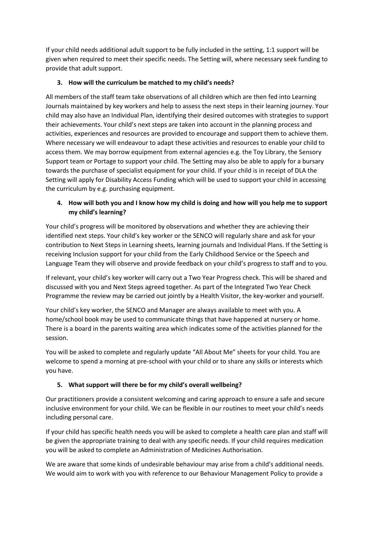If your child needs additional adult support to be fully included in the setting, 1:1 support will be given when required to meet their specific needs. The Setting will, where necessary seek funding to provide that adult support.

## **3. How will the curriculum be matched to my child's needs?**

All members of the staff team take observations of all children which are then fed into Learning Journals maintained by key workers and help to assess the next steps in their learning journey. Your child may also have an Individual Plan, identifying their desired outcomes with strategies to support their achievements. Your child's next steps are taken into account in the planning process and activities, experiences and resources are provided to encourage and support them to achieve them. Where necessary we will endeavour to adapt these activities and resources to enable your child to access them. We may borrow equipment from external agencies e.g. the Toy Library, the Sensory Support team or Portage to support your child. The Setting may also be able to apply for a bursary towards the purchase of specialist equipment for your child. If your child is in receipt of DLA the Setting will apply for Disability Access Funding which will be used to support your child in accessing the curriculum by e.g. purchasing equipment.

## **4. How will both you and I know how my child is doing and how will you help me to support my child's learning?**

Your child's progress will be monitored by observations and whether they are achieving their identified next steps. Your child's key worker or the SENCO will regularly share and ask for your contribution to Next Steps in Learning sheets, learning journals and Individual Plans. If the Setting is receiving Inclusion support for your child from the Early Childhood Service or the Speech and Language Team they will observe and provide feedback on your child's progress to staff and to you.

If relevant, your child's key worker will carry out a Two Year Progress check. This will be shared and discussed with you and Next Steps agreed together. As part of the Integrated Two Year Check Programme the review may be carried out jointly by a Health Visitor, the key-worker and yourself.

Your child's key worker, the SENCO and Manager are always available to meet with you. A home/school book may be used to communicate things that have happened at nursery or home. There is a board in the parents waiting area which indicates some of the activities planned for the session.

You will be asked to complete and regularly update "All About Me" sheets for your child. You are welcome to spend a morning at pre-school with your child or to share any skills or interests which you have.

## **5. What support will there be for my child's overall wellbeing?**

Our practitioners provide a consistent welcoming and caring approach to ensure a safe and secure inclusive environment for your child. We can be flexible in our routines to meet your child's needs including personal care.

If your child has specific health needs you will be asked to complete a health care plan and staff will be given the appropriate training to deal with any specific needs. If your child requires medication you will be asked to complete an Administration of Medicines Authorisation.

We are aware that some kinds of undesirable behaviour may arise from a child's additional needs. We would aim to work with you with reference to our Behaviour Management Policy to provide a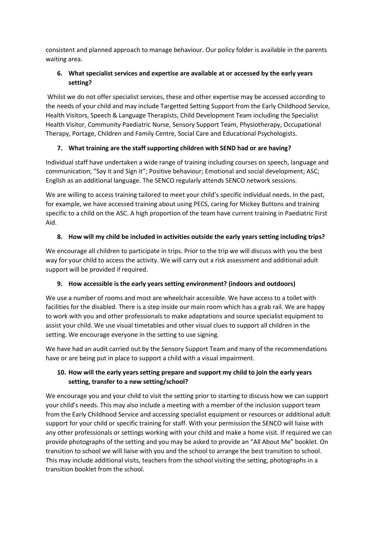consistent and planned approach to manage behaviour. Our policy folder is available in the parents waiting area.

## **6. What specialist services and expertise are available at or accessed by the early years setting?**

Whilst we do not offer specialist services, these and other expertise may be accessed according to the needs of your child and may include Targetted Setting Support from the Early Childhood Service, Health Visitors, Speech & Language Therapists, Child Development Team including the Specialist Health Visitor, Community Paediatric Nurse, Sensory Support Team, Physiotherapy, Occupational Therapy, Portage, Children and Family Centre, Social Care and Educational Psychologists.

## **7. What training are the staff supporting children with SEND had or are having?**

Individual staff have undertaken a wide range of training including courses on speech, language and communication; "Say it and Sign it"; Positive behaviour; Emotional and social development; ASC; English as an additional language. The SENCO regularly attends SENCO network sessions.

We are willing to access training tailored to meet your child's specific individual needs. In the past, for example, we have accessed training about using PECS, caring for Mickey Buttons and training specific to a child on the ASC. A high proportion of the team have current training in Paediatric First Aid.

# **8. How will my child be included in activities outside the early years setting including trips?**

We encourage all children to participate in trips. Prior to the trip we will discuss with you the best way for your child to access the activity. We will carry out a risk assessment and additional adult support will be provided if required.

## **9. How accessible is the early years setting environment? (indoors and outdoors)**

We use a number of rooms and most are wheelchair accessible. We have access to a toilet with facilities for the disabled. There is a step inside our main room which has a grab rail. We are happy to work with you and other professionals to make adaptations and source specialist equipment to assist your child. We use visual timetables and other visual clues to support all children in the setting. We encourage everyone in the setting to use signing.

We have had an audit carried out by the Sensory Support Team and many of the recommendations have or are being put in place to support a child with a visual impairment.

# **10. How will the early years setting prepare and support my child to join the early years setting, transfer to a new setting/school?**

We encourage you and your child to visit the setting prior to starting to discuss how we can support your child's needs. This may also include a meeting with a member of the inclusion support team from the Early Childhood Service and accessing specialist equipment or resources or additional adult support for your child or specific training for staff. With your permission the SENCO will liaise with any other professionals or settings working with your child and make a home visit. If required we can provide photographs of the setting and you may be asked to provide an "All About Me" booklet. On transition to school we will liaise with you and the school to arrange the best transition to school. This may include additional visits, teachers from the school visiting the setting, photographs in a transition booklet from the school.